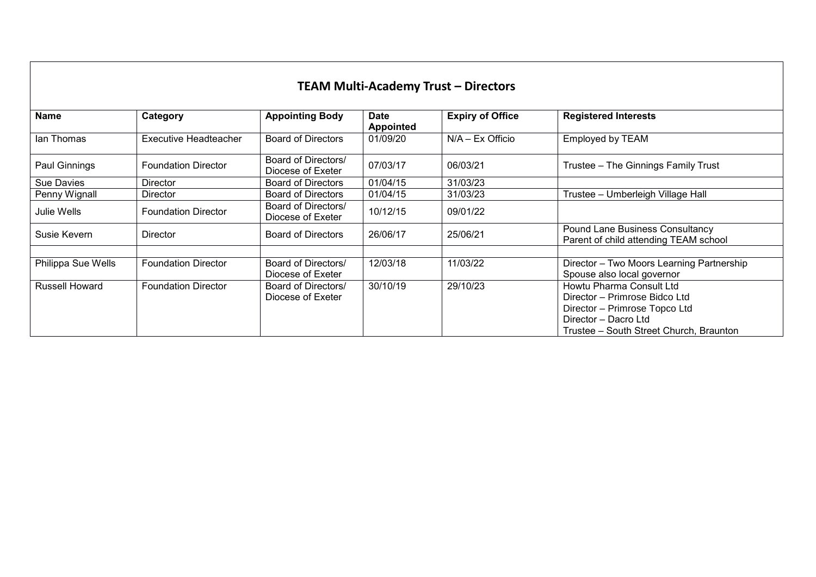## **TEAM Multi-Academy Trust – Directors**

| <b>Name</b>           | Category                   | <b>Appointing Body</b>                   | <b>Date</b><br><b>Appointed</b> | <b>Expiry of Office</b> | <b>Registered Interests</b>                                                     |
|-----------------------|----------------------------|------------------------------------------|---------------------------------|-------------------------|---------------------------------------------------------------------------------|
| lan Thomas            | Executive Headteacher      | Board of Directors                       | 01/09/20                        | $N/A - Ex$ Officio      | Employed by TEAM                                                                |
| Paul Ginnings         | <b>Foundation Director</b> | Board of Directors/<br>Diocese of Exeter | 07/03/17                        | 06/03/21                | Trustee - The Ginnings Family Trust                                             |
| Sue Davies            | <b>Director</b>            | Board of Directors                       | 01/04/15                        | 31/03/23                |                                                                                 |
| Penny Wignall         | Director                   | Board of Directors                       | 01/04/15                        | 31/03/23                | Trustee – Umberleigh Village Hall                                               |
| Julie Wells           | <b>Foundation Director</b> | Board of Directors/<br>Diocese of Exeter | 10/12/15                        | 09/01/22                |                                                                                 |
| Susie Kevern          | Director                   | Board of Directors                       | 26/06/17                        | 25/06/21                | <b>Pound Lane Business Consultancy</b><br>Parent of child attending TEAM school |
|                       |                            |                                          |                                 |                         |                                                                                 |
| Philippa Sue Wells    | <b>Foundation Director</b> | Board of Directors/                      | 12/03/18                        | 11/03/22                | Director - Two Moors Learning Partnership                                       |
|                       |                            | Diocese of Exeter                        |                                 |                         | Spouse also local governor                                                      |
| <b>Russell Howard</b> | <b>Foundation Director</b> | Board of Directors/<br>Diocese of Exeter | 30/10/19                        | 29/10/23                | Howtu Pharma Consult Ltd<br>Director - Primrose Bidco Ltd                       |
|                       |                            |                                          |                                 |                         | Director - Primrose Topco Ltd<br>Director - Dacro Ltd                           |
|                       |                            |                                          |                                 |                         | Trustee – South Street Church, Braunton                                         |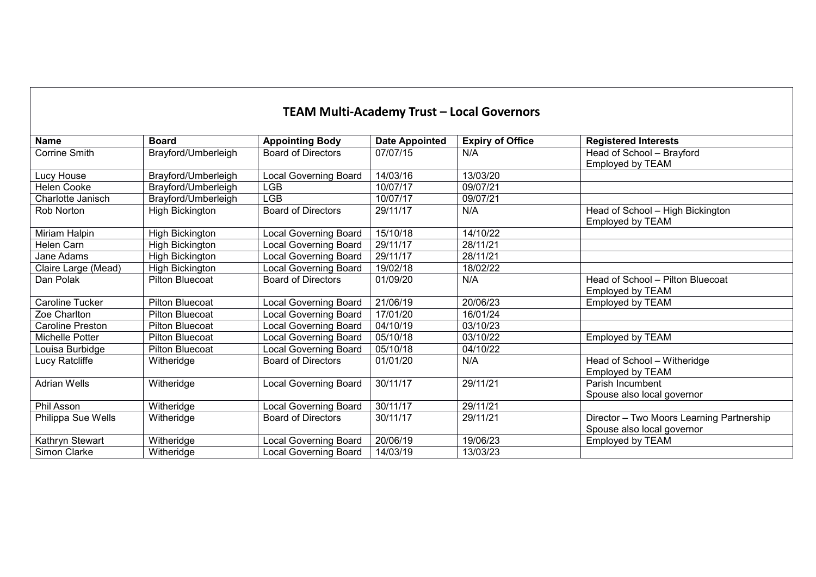| <b>TEAM Multi-Academy Trust - Local Governors</b> |
|---------------------------------------------------|
|---------------------------------------------------|

| <b>Name</b>          | <b>Board</b>           | <b>Appointing Body</b>       | <b>Date Appointed</b> | <b>Expiry of Office</b> | <b>Registered Interests</b>               |
|----------------------|------------------------|------------------------------|-----------------------|-------------------------|-------------------------------------------|
| <b>Corrine Smith</b> | Brayford/Umberleigh    | <b>Board of Directors</b>    | 07/07/15              | N/A                     | Head of School - Brayford                 |
|                      |                        |                              |                       |                         | Employed by TEAM                          |
| Lucy House           | Brayford/Umberleigh    | <b>Local Governing Board</b> | 14/03/16              | 13/03/20                |                                           |
| <b>Helen Cooke</b>   | Brayford/Umberleigh    | <b>LGB</b>                   | 10/07/17              | 09/07/21                |                                           |
| Charlotte Janisch    | Brayford/Umberleigh    | <b>LGB</b>                   | 10/07/17              | 09/07/21                |                                           |
| Rob Norton           | High Bickington        | <b>Board of Directors</b>    | 29/11/17              | N/A                     | Head of School - High Bickington          |
|                      |                        |                              |                       |                         | Employed by TEAM                          |
| Miriam Halpin        | High Bickington        | <b>Local Governing Board</b> | 15/10/18              | 14/10/22                |                                           |
| <b>Helen Carn</b>    | High Bickington        | <b>Local Governing Board</b> | 29/11/17              | 28/11/21                |                                           |
| Jane Adams           | <b>High Bickington</b> | <b>Local Governing Board</b> | 29/11/17              | 28/11/21                |                                           |
| Claire Large (Mead)  | <b>High Bickington</b> | <b>Local Governing Board</b> | 19/02/18              | 18/02/22                |                                           |
| Dan Polak            | <b>Pilton Bluecoat</b> | <b>Board of Directors</b>    | 01/09/20              | N/A                     | Head of School - Pilton Bluecoat          |
|                      |                        |                              |                       |                         | Employed by TEAM                          |
| Caroline Tucker      | <b>Pilton Bluecoat</b> | <b>Local Governing Board</b> | 21/06/19              | 20/06/23                | Employed by TEAM                          |
| Zoe Charlton         | <b>Pilton Bluecoat</b> | <b>Local Governing Board</b> | 17/01/20              | 16/01/24                |                                           |
| Caroline Preston     | <b>Pilton Bluecoat</b> | <b>Local Governing Board</b> | 04/10/19              | 03/10/23                |                                           |
| Michelle Potter      | <b>Pilton Bluecoat</b> | <b>Local Governing Board</b> | 05/10/18              | 03/10/22                | Employed by TEAM                          |
| Louisa Burbidge      | <b>Pilton Bluecoat</b> | <b>Local Governing Board</b> | 05/10/18              | 04/10/22                |                                           |
| Lucy Ratcliffe       | Witheridge             | <b>Board of Directors</b>    | 01/01/20              | N/A                     | Head of School - Witheridge               |
|                      |                        |                              |                       |                         | Employed by TEAM                          |
| <b>Adrian Wells</b>  | Witheridge             | <b>Local Governing Board</b> | 30/11/17              | 29/11/21                | Parish Incumbent                          |
|                      |                        |                              |                       |                         | Spouse also local governor                |
| Phil Asson           | Witheridge             | <b>Local Governing Board</b> | 30/11/17              | 29/11/21                |                                           |
| Philippa Sue Wells   | Witheridge             | <b>Board of Directors</b>    | 30/11/17              | 29/11/21                | Director - Two Moors Learning Partnership |
|                      |                        |                              |                       |                         | Spouse also local governor                |
| Kathryn Stewart      | Witheridge             | <b>Local Governing Board</b> | 20/06/19              | 19/06/23                | Employed by TEAM                          |
| Simon Clarke         | Witheridge             | <b>Local Governing Board</b> | 14/03/19              | 13/03/23                |                                           |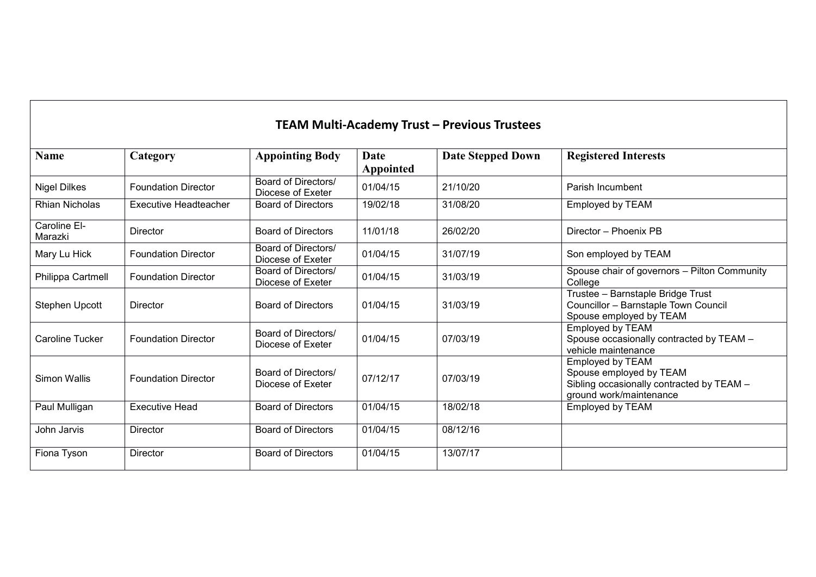| <b>TEAM Multi-Academy Trust - Previous Trustees</b> |                              |                                          |                   |                          |                                                                                                                     |  |
|-----------------------------------------------------|------------------------------|------------------------------------------|-------------------|--------------------------|---------------------------------------------------------------------------------------------------------------------|--|
| <b>Name</b>                                         | Category                     | <b>Appointing Body</b>                   | Date<br>Appointed | <b>Date Stepped Down</b> | <b>Registered Interests</b>                                                                                         |  |
| <b>Nigel Dilkes</b>                                 | <b>Foundation Director</b>   | Board of Directors/<br>Diocese of Exeter | 01/04/15          | 21/10/20                 | Parish Incumbent                                                                                                    |  |
| <b>Rhian Nicholas</b>                               | <b>Executive Headteacher</b> | <b>Board of Directors</b>                | 19/02/18          | 31/08/20                 | Employed by TEAM                                                                                                    |  |
| Caroline El-<br>Marazki                             | Director                     | <b>Board of Directors</b>                | 11/01/18          | 26/02/20                 | Director - Phoenix PB                                                                                               |  |
| Mary Lu Hick                                        | <b>Foundation Director</b>   | Board of Directors/<br>Diocese of Exeter | 01/04/15          | 31/07/19                 | Son employed by TEAM                                                                                                |  |
| Philippa Cartmell                                   | <b>Foundation Director</b>   | Board of Directors/<br>Diocese of Exeter | 01/04/15          | 31/03/19                 | Spouse chair of governors - Pilton Community<br>College                                                             |  |
| <b>Stephen Upcott</b>                               | Director                     | <b>Board of Directors</b>                | 01/04/15          | 31/03/19                 | Trustee - Barnstaple Bridge Trust<br>Councillor - Barnstaple Town Council<br>Spouse employed by TEAM                |  |
| Caroline Tucker                                     | <b>Foundation Director</b>   | Board of Directors/<br>Diocese of Exeter | 01/04/15          | 07/03/19                 | Employed by TEAM<br>Spouse occasionally contracted by TEAM -<br>vehicle maintenance                                 |  |
| Simon Wallis                                        | <b>Foundation Director</b>   | Board of Directors/<br>Diocese of Exeter | 07/12/17          | 07/03/19                 | Employed by TEAM<br>Spouse employed by TEAM<br>Sibling occasionally contracted by TEAM -<br>ground work/maintenance |  |
| Paul Mulligan                                       | <b>Executive Head</b>        | <b>Board of Directors</b>                | 01/04/15          | 18/02/18                 | Employed by TEAM                                                                                                    |  |
| John Jarvis                                         | <b>Director</b>              | <b>Board of Directors</b>                | 01/04/15          | 08/12/16                 |                                                                                                                     |  |
| Fiona Tyson                                         | <b>Director</b>              | <b>Board of Directors</b>                | 01/04/15          | 13/07/17                 |                                                                                                                     |  |